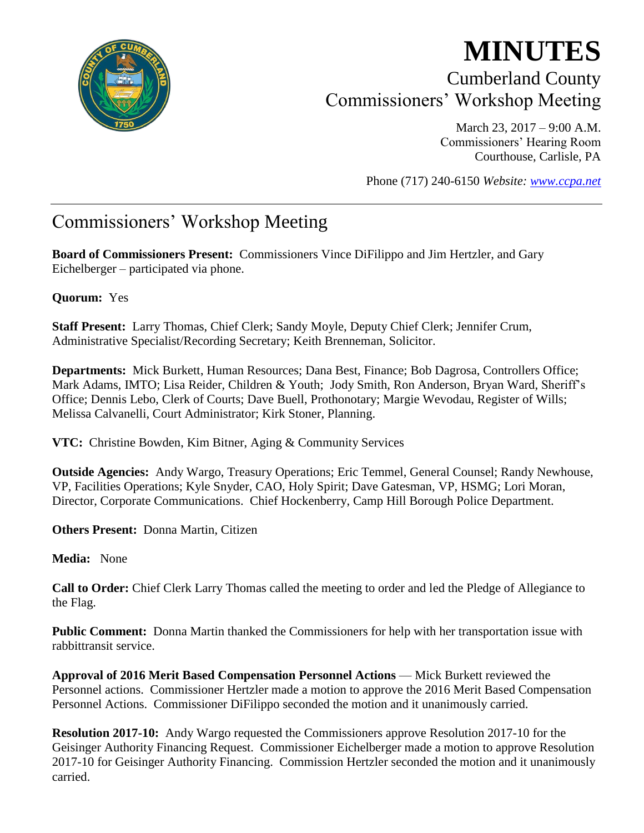

# **MINUTES** Cumberland County Commissioners' Workshop Meeting

March 23, 2017 – 9:00 A.M. Commissioners' Hearing Room Courthouse, Carlisle, PA

Phone (717) 240-6150 *Website: [www.ccpa.net](http://www.ccpa.net/)*

## Commissioners' Workshop Meeting

**Board of Commissioners Present:** Commissioners Vince DiFilippo and Jim Hertzler, and Gary Eichelberger – participated via phone.

#### **Quorum:** Yes

**Staff Present:** Larry Thomas, Chief Clerk; Sandy Moyle, Deputy Chief Clerk; Jennifer Crum, Administrative Specialist/Recording Secretary; Keith Brenneman, Solicitor.

**Departments:** Mick Burkett, Human Resources; Dana Best, Finance; Bob Dagrosa, Controllers Office; Mark Adams, IMTO; Lisa Reider, Children & Youth; Jody Smith, Ron Anderson, Bryan Ward, Sheriff's Office; Dennis Lebo, Clerk of Courts; Dave Buell, Prothonotary; Margie Wevodau, Register of Wills; Melissa Calvanelli, Court Administrator; Kirk Stoner, Planning.

**VTC:** Christine Bowden, Kim Bitner, Aging & Community Services

**Outside Agencies:** Andy Wargo, Treasury Operations; Eric Temmel, General Counsel; Randy Newhouse, VP, Facilities Operations; Kyle Snyder, CAO, Holy Spirit; Dave Gatesman, VP, HSMG; Lori Moran, Director, Corporate Communications. Chief Hockenberry, Camp Hill Borough Police Department.

**Others Present:** Donna Martin, Citizen

**Media:** None

**Call to Order:** Chief Clerk Larry Thomas called the meeting to order and led the Pledge of Allegiance to the Flag.

**Public Comment:** Donna Martin thanked the Commissioners for help with her transportation issue with rabbittransit service.

**Approval of 2016 Merit Based Compensation Personnel Actions** — Mick Burkett reviewed the Personnel actions. Commissioner Hertzler made a motion to approve the 2016 Merit Based Compensation Personnel Actions. Commissioner DiFilippo seconded the motion and it unanimously carried.

**Resolution 2017-10:** Andy Wargo requested the Commissioners approve Resolution 2017-10 for the Geisinger Authority Financing Request. Commissioner Eichelberger made a motion to approve Resolution 2017-10 for Geisinger Authority Financing. Commission Hertzler seconded the motion and it unanimously carried.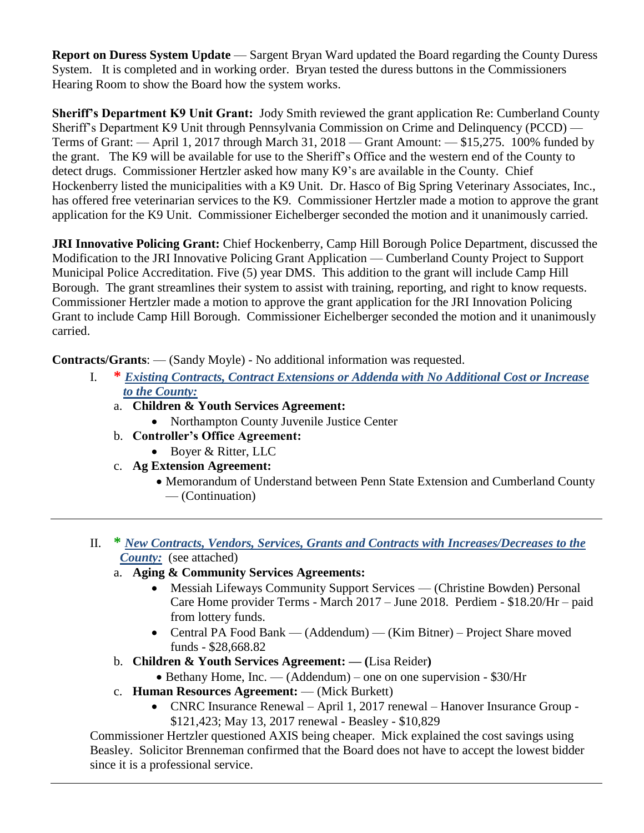**Report on Duress System Update** — Sargent Bryan Ward updated the Board regarding the County Duress System. It is completed and in working order. Bryan tested the duress buttons in the Commissioners Hearing Room to show the Board how the system works.

**Sheriff's Department K9 Unit Grant:** Jody Smith reviewed the grant application Re: Cumberland County Sheriff's Department K9 Unit through Pennsylvania Commission on Crime and Delinquency (PCCD) — Terms of Grant: — April 1, 2017 through March 31, 2018 — Grant Amount: — \$15,275. 100% funded by the grant. The K9 will be available for use to the Sheriff's Office and the western end of the County to detect drugs. Commissioner Hertzler asked how many K9's are available in the County. Chief Hockenberry listed the municipalities with a K9 Unit. Dr. Hasco of Big Spring Veterinary Associates, Inc., has offered free veterinarian services to the K9. Commissioner Hertzler made a motion to approve the grant application for the K9 Unit. Commissioner Eichelberger seconded the motion and it unanimously carried.

**JRI Innovative Policing Grant:** Chief Hockenberry, Camp Hill Borough Police Department, discussed the Modification to the JRI Innovative Policing Grant Application — Cumberland County Project to Support Municipal Police Accreditation. Five (5) year DMS. This addition to the grant will include Camp Hill Borough. The grant streamlines their system to assist with training, reporting, and right to know requests. Commissioner Hertzler made a motion to approve the grant application for the JRI Innovation Policing Grant to include Camp Hill Borough. Commissioner Eichelberger seconded the motion and it unanimously carried.

**Contracts/Grants**: — (Sandy Moyle) - No additional information was requested.

- I. **\*** *Existing Contracts, Contract Extensions or Addenda with No Additional Cost or Increase to the County:*
	- a. **Children & Youth Services Agreement:** 
		- Northampton County Juvenile Justice Center
	- b. **Controller's Office Agreement:** 
		- Boyer & Ritter, LLC
	- c. **Ag Extension Agreement:** 
		- Memorandum of Understand between Penn State Extension and Cumberland County — (Continuation)
- II. **\*** *New Contracts, Vendors, Services, Grants and Contracts with Increases/Decreases to the County:* (see attached)
	- a. **Aging & Community Services Agreements:** 
		- Messiah Lifeways Community Support Services (Christine Bowden) Personal Care Home provider Terms - March 2017 – June 2018. Perdiem - \$18.20/Hr – paid from lottery funds.
		- Central PA Food Bank (Addendum) (Kim Bitner) Project Share moved funds - \$28,668.82
	- b. **Children & Youth Services Agreement: — (**Lisa Reider**)**
		- Bethany Home, Inc. (Addendum) one on one supervision \$30/Hr
	- c. **Human Resources Agreement:** (Mick Burkett)
		- CNRC Insurance Renewal April 1, 2017 renewal Hanover Insurance Group \$121,423; May 13, 2017 renewal - Beasley - \$10,829

Commissioner Hertzler questioned AXIS being cheaper. Mick explained the cost savings using Beasley. Solicitor Brenneman confirmed that the Board does not have to accept the lowest bidder since it is a professional service.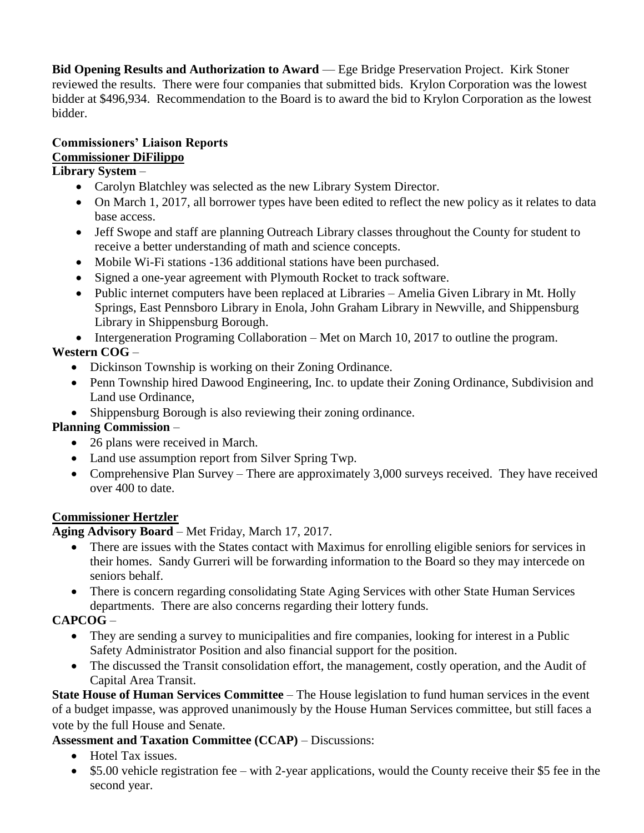**Bid Opening Results and Authorization to Award** — Ege Bridge Preservation Project. Kirk Stoner reviewed the results. There were four companies that submitted bids. Krylon Corporation was the lowest bidder at \$496,934. Recommendation to the Board is to award the bid to Krylon Corporation as the lowest bidder.

### **Commissioners' Liaison Reports Commissioner DiFilippo**

#### **Library System** –

- Carolyn Blatchley was selected as the new Library System Director.
- On March 1, 2017, all borrower types have been edited to reflect the new policy as it relates to data base access.
- Jeff Swope and staff are planning Outreach Library classes throughout the County for student to receive a better understanding of math and science concepts.
- Mobile Wi-Fi stations -136 additional stations have been purchased.
- Signed a one-year agreement with Plymouth Rocket to track software.
- Public internet computers have been replaced at Libraries Amelia Given Library in Mt. Holly Springs, East Pennsboro Library in Enola, John Graham Library in Newville, and Shippensburg Library in Shippensburg Borough.

• Intergeneration Programing Collaboration – Met on March 10, 2017 to outline the program.

#### **Western COG** –

- Dickinson Township is working on their Zoning Ordinance.
- Penn Township hired Dawood Engineering, Inc. to update their Zoning Ordinance, Subdivision and Land use Ordinance,
- Shippensburg Borough is also reviewing their zoning ordinance.

#### **Planning Commission** –

- 26 plans were received in March.
- Land use assumption report from Silver Spring Twp.
- Comprehensive Plan Survey There are approximately 3,000 surveys received. They have received over 400 to date.

#### **Commissioner Hertzler**

**Aging Advisory Board** – Met Friday, March 17, 2017.

- There are issues with the States contact with Maximus for enrolling eligible seniors for services in their homes. Sandy Gurreri will be forwarding information to the Board so they may intercede on seniors behalf.
- There is concern regarding consolidating State Aging Services with other State Human Services departments. There are also concerns regarding their lottery funds.

#### **CAPCOG** –

- They are sending a survey to municipalities and fire companies, looking for interest in a Public Safety Administrator Position and also financial support for the position.
- The discussed the Transit consolidation effort, the management, costly operation, and the Audit of Capital Area Transit.

**State House of Human Services Committee** – The House legislation to fund human services in the event of a budget impasse, was approved unanimously by the House Human Services committee, but still faces a vote by the full House and Senate.

#### **Assessment and Taxation Committee (CCAP)** – Discussions:

- Hotel Tax issues.
- \$5.00 vehicle registration fee with 2-year applications, would the County receive their \$5 fee in the second year.